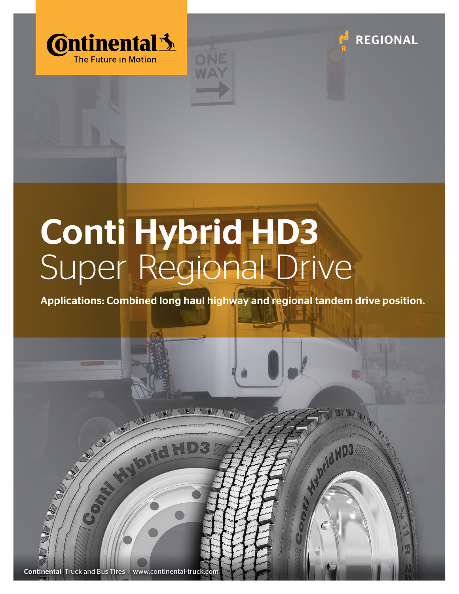





## Conti Hybrid HD3 Super Regional Drive

Applications: Combined long haul highway and regional tandem drive position.